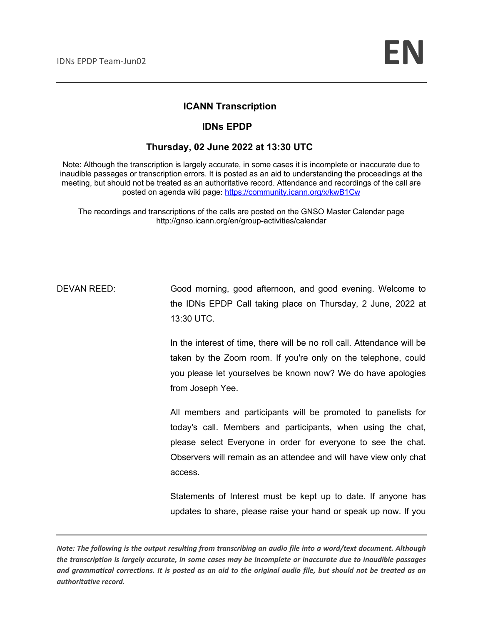### **ICANN Transcription**

#### **IDNs EPDP**

#### **Thursday, 02 June 2022 at 13:30 UTC**

Note: Although the transcription is largely accurate, in some cases it is incomplete or inaccurate due to inaudible passages or transcription errors. It is posted as an aid to understanding the proceedings at the meeting, but should not be treated as an authoritative record. Attendance and recordings of the call are posted on agenda wiki page: https://community.icann.org/x/kwB1Cw

The recordings and transcriptions of the calls are posted on the GNSO Master Calendar page http://gnso.icann.org/en/group-activities/calendar

DEVAN REED: Good morning, good afternoon, and good evening. Welcome to the IDNs EPDP Call taking place on Thursday, 2 June, 2022 at 13:30 UTC.

> In the interest of time, there will be no roll call. Attendance will be taken by the Zoom room. If you're only on the telephone, could you please let yourselves be known now? We do have apologies from Joseph Yee.

> All members and participants will be promoted to panelists for today's call. Members and participants, when using the chat, please select Everyone in order for everyone to see the chat. Observers will remain as an attendee and will have view only chat access.

> Statements of Interest must be kept up to date. If anyone has updates to share, please raise your hand or speak up now. If you

*Note: The following is the output resulting from transcribing an audio file into a word/text document. Although the transcription is largely accurate, in some cases may be incomplete or inaccurate due to inaudible passages and grammatical corrections. It is posted as an aid to the original audio file, but should not be treated as an authoritative record.*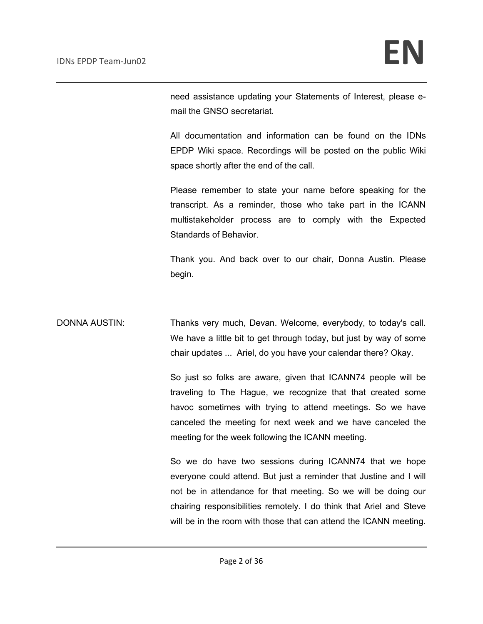need assistance updating your Statements of Interest, please email the GNSO secretariat.

All documentation and information can be found on the IDNs EPDP Wiki space. Recordings will be posted on the public Wiki space shortly after the end of the call.

Please remember to state your name before speaking for the transcript. As a reminder, those who take part in the ICANN multistakeholder process are to comply with the Expected Standards of Behavior.

Thank you. And back over to our chair, Donna Austin. Please begin.

DONNA AUSTIN: Thanks very much, Devan. Welcome, everybody, to today's call. We have a little bit to get through today, but just by way of some chair updates ... Ariel, do you have your calendar there? Okay.

> So just so folks are aware, given that ICANN74 people will be traveling to The Hague, we recognize that that created some havoc sometimes with trying to attend meetings. So we have canceled the meeting for next week and we have canceled the meeting for the week following the ICANN meeting.

> So we do have two sessions during ICANN74 that we hope everyone could attend. But just a reminder that Justine and I will not be in attendance for that meeting. So we will be doing our chairing responsibilities remotely. I do think that Ariel and Steve will be in the room with those that can attend the ICANN meeting.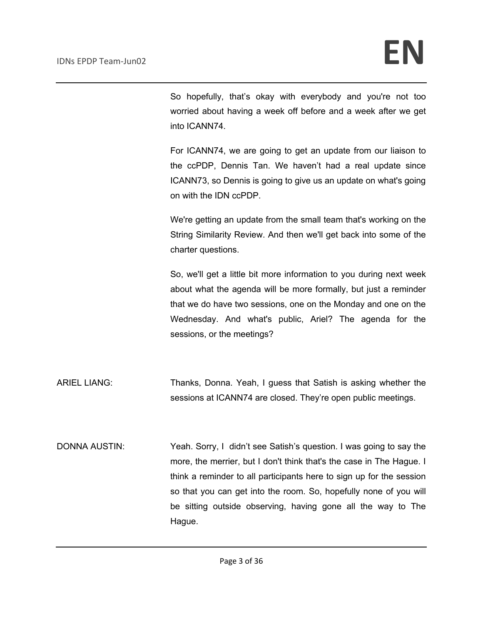So hopefully, that's okay with everybody and you're not too worried about having a week off before and a week after we get into ICANN74.

For ICANN74, we are going to get an update from our liaison to the ccPDP, Dennis Tan. We haven't had a real update since ICANN73, so Dennis is going to give us an update on what's going on with the IDN ccPDP.

We're getting an update from the small team that's working on the String Similarity Review. And then we'll get back into some of the charter questions.

So, we'll get a little bit more information to you during next week about what the agenda will be more formally, but just a reminder that we do have two sessions, one on the Monday and one on the Wednesday. And what's public, Ariel? The agenda for the sessions, or the meetings?

ARIEL LIANG: Thanks, Donna. Yeah, I guess that Satish is asking whether the sessions at ICANN74 are closed. They're open public meetings.

DONNA AUSTIN: Yeah. Sorry, I didn't see Satish's question. I was going to say the more, the merrier, but I don't think that's the case in The Hague. I think a reminder to all participants here to sign up for the session so that you can get into the room. So, hopefully none of you will be sitting outside observing, having gone all the way to The Hague.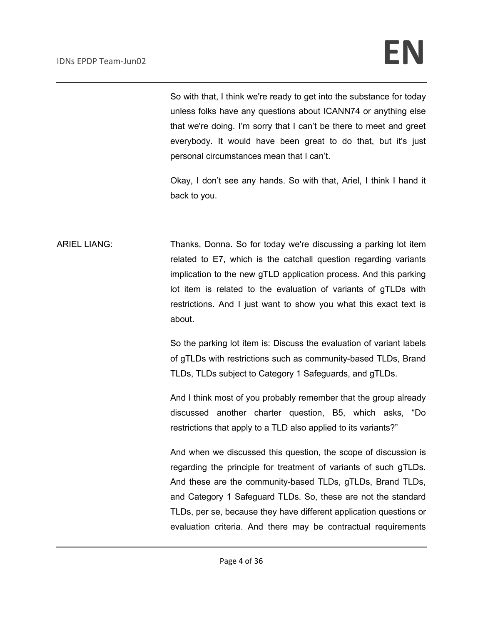So with that, I think we're ready to get into the substance for today unless folks have any questions about ICANN74 or anything else that we're doing. I'm sorry that I can't be there to meet and greet everybody. It would have been great to do that, but it's just personal circumstances mean that I can't.

Okay, I don't see any hands. So with that, Ariel, I think I hand it back to you.

ARIEL LIANG: Thanks, Donna. So for today we're discussing a parking lot item related to E7, which is the catchall question regarding variants implication to the new gTLD application process. And this parking lot item is related to the evaluation of variants of gTLDs with restrictions. And I just want to show you what this exact text is about.

> So the parking lot item is: Discuss the evaluation of variant labels of gTLDs with restrictions such as community-based TLDs, Brand TLDs, TLDs subject to Category 1 Safeguards, and gTLDs.

> And I think most of you probably remember that the group already discussed another charter question, B5, which asks, "Do restrictions that apply to a TLD also applied to its variants?"

> And when we discussed this question, the scope of discussion is regarding the principle for treatment of variants of such gTLDs. And these are the community-based TLDs, gTLDs, Brand TLDs, and Category 1 Safeguard TLDs. So, these are not the standard TLDs, per se, because they have different application questions or evaluation criteria. And there may be contractual requirements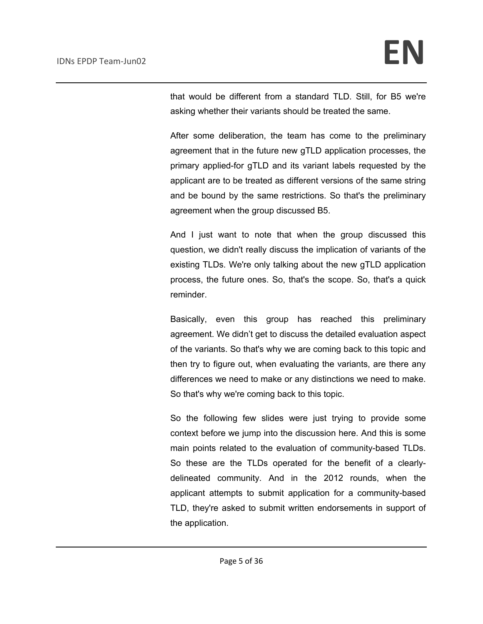that would be different from a standard TLD. Still, for B5 we're asking whether their variants should be treated the same.

After some deliberation, the team has come to the preliminary agreement that in the future new gTLD application processes, the primary applied-for gTLD and its variant labels requested by the applicant are to be treated as different versions of the same string and be bound by the same restrictions. So that's the preliminary agreement when the group discussed B5.

And I just want to note that when the group discussed this question, we didn't really discuss the implication of variants of the existing TLDs. We're only talking about the new gTLD application process, the future ones. So, that's the scope. So, that's a quick reminder.

Basically, even this group has reached this preliminary agreement. We didn't get to discuss the detailed evaluation aspect of the variants. So that's why we are coming back to this topic and then try to figure out, when evaluating the variants, are there any differences we need to make or any distinctions we need to make. So that's why we're coming back to this topic.

So the following few slides were just trying to provide some context before we jump into the discussion here. And this is some main points related to the evaluation of community-based TLDs. So these are the TLDs operated for the benefit of a clearlydelineated community. And in the 2012 rounds, when the applicant attempts to submit application for a community-based TLD, they're asked to submit written endorsements in support of the application.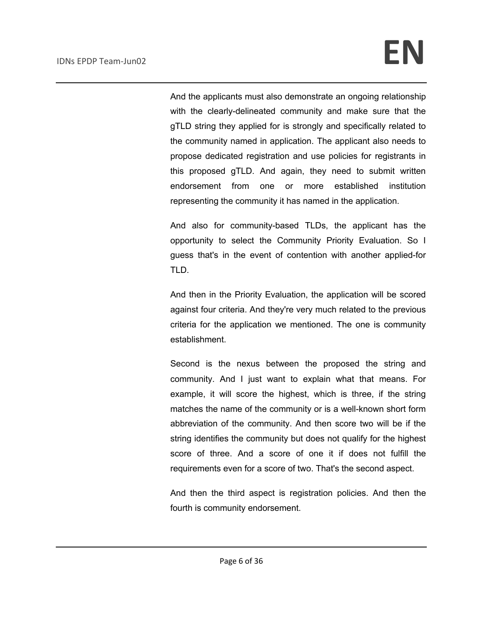And the applicants must also demonstrate an ongoing relationship with the clearly-delineated community and make sure that the gTLD string they applied for is strongly and specifically related to the community named in application. The applicant also needs to propose dedicated registration and use policies for registrants in this proposed gTLD. And again, they need to submit written endorsement from one or more established institution representing the community it has named in the application.

And also for community-based TLDs, the applicant has the opportunity to select the Community Priority Evaluation. So I guess that's in the event of contention with another applied-for TLD.

And then in the Priority Evaluation, the application will be scored against four criteria. And they're very much related to the previous criteria for the application we mentioned. The one is community establishment.

Second is the nexus between the proposed the string and community. And I just want to explain what that means. For example, it will score the highest, which is three, if the string matches the name of the community or is a well-known short form abbreviation of the community. And then score two will be if the string identifies the community but does not qualify for the highest score of three. And a score of one it if does not fulfill the requirements even for a score of two. That's the second aspect.

And then the third aspect is registration policies. And then the fourth is community endorsement.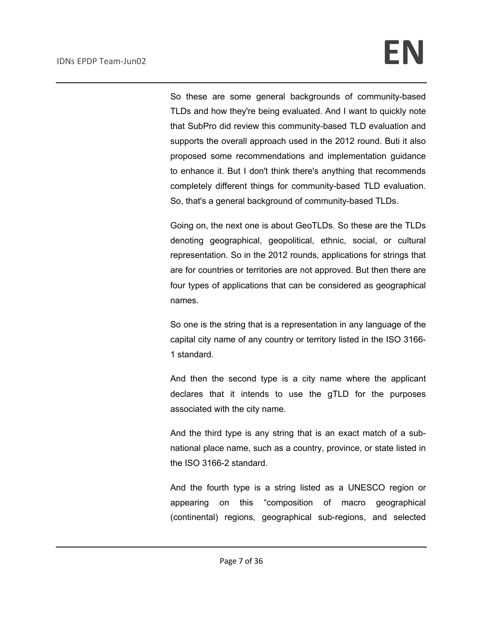So these are some general backgrounds of community-based TLDs and how they're being evaluated. And I want to quickly note that SubPro did review this community-based TLD evaluation and supports the overall approach used in the 2012 round. Buti it also proposed some recommendations and implementation guidance to enhance it. But I don't think there's anything that recommends completely different things for community-based TLD evaluation. So, that's a general background of community-based TLDs.

Going on, the next one is about GeoTLDs. So these are the TLDs denoting geographical, geopolitical, ethnic, social, or cultural representation. So in the 2012 rounds, applications for strings that are for countries or territories are not approved. But then there are four types of applications that can be considered as geographical names.

So one is the string that is a representation in any language of the capital city name of any country or territory listed in the ISO 3166- 1 standard.

And then the second type is a city name where the applicant declares that it intends to use the gTLD for the purposes associated with the city name.

And the third type is any string that is an exact match of a subnational place name, such as a country, province, or state listed in the ISO 3166-2 standard.

And the fourth type is a string listed as a UNESCO region or appearing on this "composition of macro geographical (continental) regions, geographical sub-regions, and selected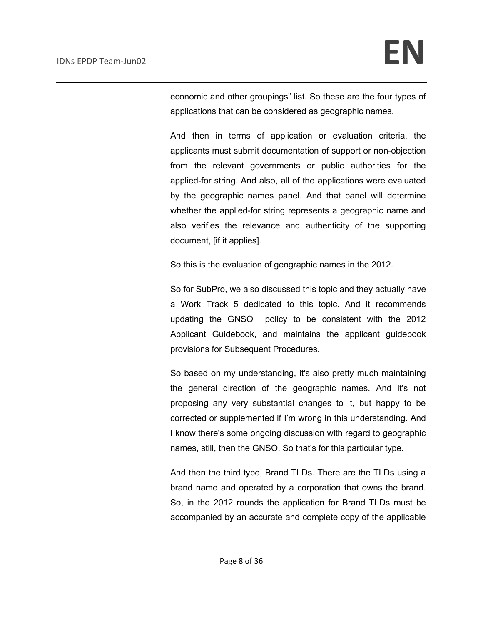economic and other groupings" list. So these are the four types of applications that can be considered as geographic names.

And then in terms of application or evaluation criteria, the applicants must submit documentation of support or non-objection from the relevant governments or public authorities for the applied-for string. And also, all of the applications were evaluated by the geographic names panel. And that panel will determine whether the applied-for string represents a geographic name and also verifies the relevance and authenticity of the supporting document, [if it applies].

So this is the evaluation of geographic names in the 2012.

So for SubPro, we also discussed this topic and they actually have a Work Track 5 dedicated to this topic. And it recommends updating the GNSO policy to be consistent with the 2012 Applicant Guidebook, and maintains the applicant guidebook provisions for Subsequent Procedures.

So based on my understanding, it's also pretty much maintaining the general direction of the geographic names. And it's not proposing any very substantial changes to it, but happy to be corrected or supplemented if I'm wrong in this understanding. And I know there's some ongoing discussion with regard to geographic names, still, then the GNSO. So that's for this particular type.

And then the third type, Brand TLDs. There are the TLDs using a brand name and operated by a corporation that owns the brand. So, in the 2012 rounds the application for Brand TLDs must be accompanied by an accurate and complete copy of the applicable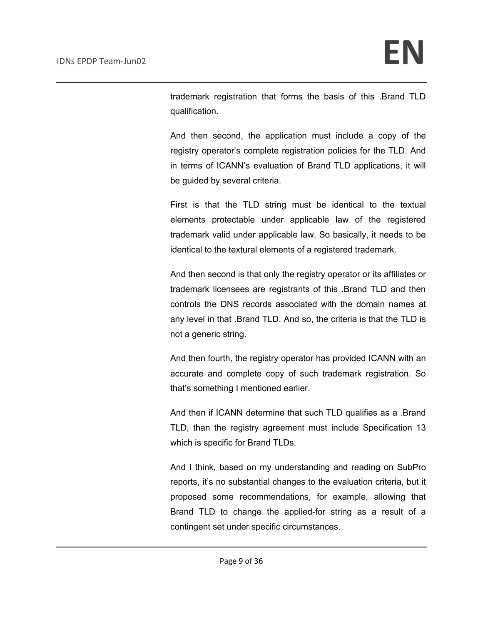trademark registration that forms the basis of this .Brand TLD qualification.

And then second, the application must include a copy of the registry operator's complete registration policies for the TLD. And in terms of ICANN's evaluation of Brand TLD applications, it will be guided by several criteria.

First is that the TLD string must be identical to the textual elements protectable under applicable law of the registered trademark valid under applicable law. So basically, it needs to be identical to the textural elements of a registered trademark.

And then second is that only the registry operator or its affiliates or trademark licensees are registrants of this .Brand TLD and then controls the DNS records associated with the domain names at any level in that .Brand TLD. And so, the criteria is that the TLD is not a generic string.

And then fourth, the registry operator has provided ICANN with an accurate and complete copy of such trademark registration. So that's something I mentioned earlier.

And then if ICANN determine that such TLD qualifies as a .Brand TLD, than the registry agreement must include Specification 13 which is specific for Brand TLDs.

And I think, based on my understanding and reading on SubPro reports, it's no substantial changes to the evaluation criteria, but it proposed some recommendations, for example, allowing that Brand TLD to change the applied-for string as a result of a contingent set under specific circumstances.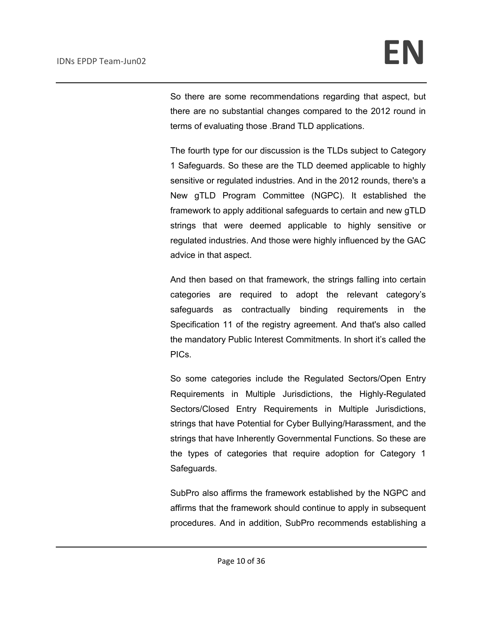So there are some recommendations regarding that aspect, but there are no substantial changes compared to the 2012 round in terms of evaluating those .Brand TLD applications.

The fourth type for our discussion is the TLDs subject to Category 1 Safeguards. So these are the TLD deemed applicable to highly sensitive or regulated industries. And in the 2012 rounds, there's a New gTLD Program Committee (NGPC). It established the framework to apply additional safeguards to certain and new gTLD strings that were deemed applicable to highly sensitive or regulated industries. And those were highly influenced by the GAC advice in that aspect.

And then based on that framework, the strings falling into certain categories are required to adopt the relevant category's safeguards as contractually binding requirements in the Specification 11 of the registry agreement. And that's also called the mandatory Public Interest Commitments. In short it's called the PICs.

So some categories include the Regulated Sectors/Open Entry Requirements in Multiple Jurisdictions, the Highly-Regulated Sectors/Closed Entry Requirements in Multiple Jurisdictions, strings that have Potential for Cyber Bullying/Harassment, and the strings that have Inherently Governmental Functions. So these are the types of categories that require adoption for Category 1 Safeguards.

SubPro also affirms the framework established by the NGPC and affirms that the framework should continue to apply in subsequent procedures. And in addition, SubPro recommends establishing a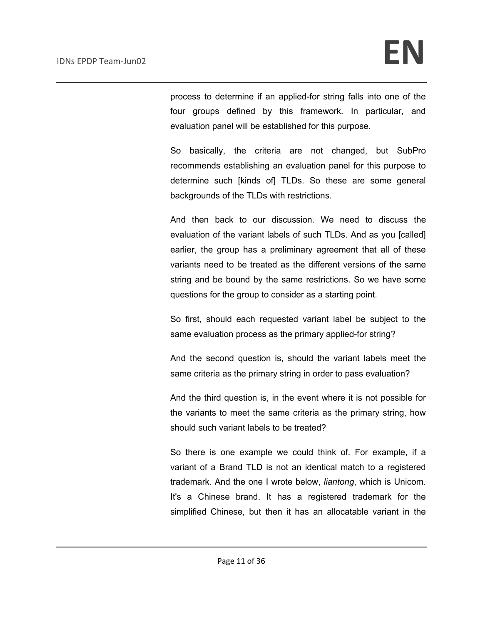process to determine if an applied-for string falls into one of the four groups defined by this framework. In particular, and evaluation panel will be established for this purpose.

So basically, the criteria are not changed, but SubPro recommends establishing an evaluation panel for this purpose to determine such [kinds of] TLDs. So these are some general backgrounds of the TLDs with restrictions.

And then back to our discussion. We need to discuss the evaluation of the variant labels of such TLDs. And as you [called] earlier, the group has a preliminary agreement that all of these variants need to be treated as the different versions of the same string and be bound by the same restrictions. So we have some questions for the group to consider as a starting point.

So first, should each requested variant label be subject to the same evaluation process as the primary applied-for string?

And the second question is, should the variant labels meet the same criteria as the primary string in order to pass evaluation?

And the third question is, in the event where it is not possible for the variants to meet the same criteria as the primary string, how should such variant labels to be treated?

So there is one example we could think of. For example, if a variant of a Brand TLD is not an identical match to a registered trademark. And the one I wrote below, *liantong*, which is Unicom. It's a Chinese brand. It has a registered trademark for the simplified Chinese, but then it has an allocatable variant in the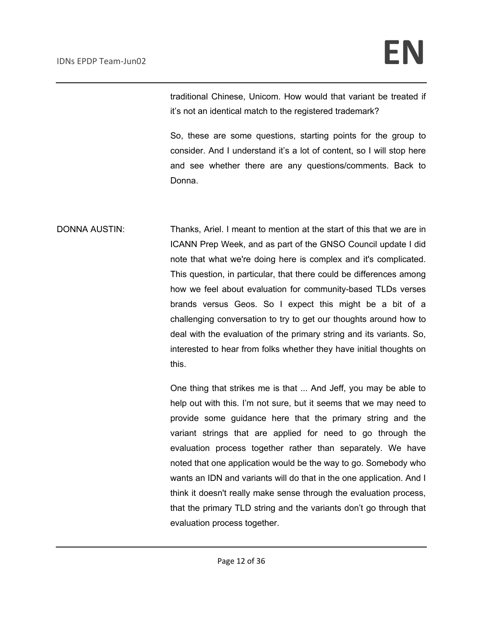traditional Chinese, Unicom. How would that variant be treated if it's not an identical match to the registered trademark?

So, these are some questions, starting points for the group to consider. And I understand it's a lot of content, so I will stop here and see whether there are any questions/comments. Back to Donna.

DONNA AUSTIN: Thanks, Ariel. I meant to mention at the start of this that we are in ICANN Prep Week, and as part of the GNSO Council update I did note that what we're doing here is complex and it's complicated. This question, in particular, that there could be differences among how we feel about evaluation for community-based TLDs verses brands versus Geos. So I expect this might be a bit of a challenging conversation to try to get our thoughts around how to deal with the evaluation of the primary string and its variants. So, interested to hear from folks whether they have initial thoughts on this.

> One thing that strikes me is that ... And Jeff, you may be able to help out with this. I'm not sure, but it seems that we may need to provide some guidance here that the primary string and the variant strings that are applied for need to go through the evaluation process together rather than separately. We have noted that one application would be the way to go. Somebody who wants an IDN and variants will do that in the one application. And I think it doesn't really make sense through the evaluation process, that the primary TLD string and the variants don't go through that evaluation process together.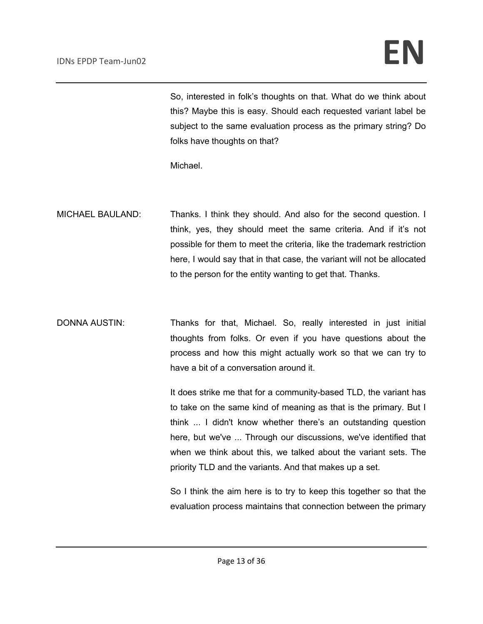## IDNs EPDP Team-Jun02 **EN**

So, interested in folk's thoughts on that. What do we think about this? Maybe this is easy. Should each requested variant label be subject to the same evaluation process as the primary string? Do folks have thoughts on that?

Michael.

- MICHAEL BAULAND: Thanks. I think they should. And also for the second question. I think, yes, they should meet the same criteria. And if it's not possible for them to meet the criteria, like the trademark restriction here, I would say that in that case, the variant will not be allocated to the person for the entity wanting to get that. Thanks.
- DONNA AUSTIN: Thanks for that, Michael. So, really interested in just initial thoughts from folks. Or even if you have questions about the process and how this might actually work so that we can try to have a bit of a conversation around it.

It does strike me that for a community-based TLD, the variant has to take on the same kind of meaning as that is the primary. But I think ... I didn't know whether there's an outstanding question here, but we've ... Through our discussions, we've identified that when we think about this, we talked about the variant sets. The priority TLD and the variants. And that makes up a set.

So I think the aim here is to try to keep this together so that the evaluation process maintains that connection between the primary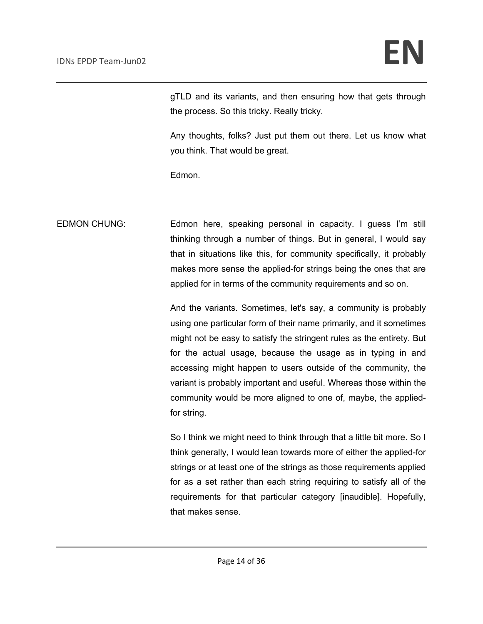gTLD and its variants, and then ensuring how that gets through the process. So this tricky. Really tricky.

Any thoughts, folks? Just put them out there. Let us know what you think. That would be great.

Edmon.

EDMON CHUNG: Edmon here, speaking personal in capacity. I guess I'm still thinking through a number of things. But in general, I would say that in situations like this, for community specifically, it probably makes more sense the applied-for strings being the ones that are applied for in terms of the community requirements and so on.

> And the variants. Sometimes, let's say, a community is probably using one particular form of their name primarily, and it sometimes might not be easy to satisfy the stringent rules as the entirety. But for the actual usage, because the usage as in typing in and accessing might happen to users outside of the community, the variant is probably important and useful. Whereas those within the community would be more aligned to one of, maybe, the appliedfor string.

> So I think we might need to think through that a little bit more. So I think generally, I would lean towards more of either the applied-for strings or at least one of the strings as those requirements applied for as a set rather than each string requiring to satisfy all of the requirements for that particular category [inaudible]. Hopefully, that makes sense.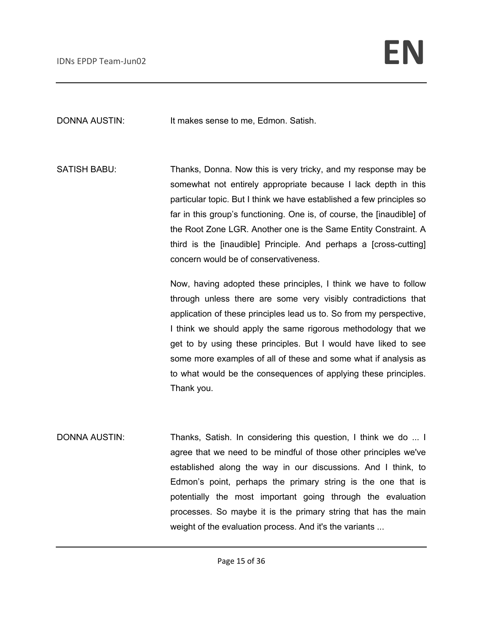DONNA AUSTIN: It makes sense to me, Edmon. Satish.

SATISH BABU: Thanks, Donna. Now this is very tricky, and my response may be somewhat not entirely appropriate because I lack depth in this particular topic. But I think we have established a few principles so far in this group's functioning. One is, of course, the [inaudible] of the Root Zone LGR. Another one is the Same Entity Constraint. A third is the [inaudible] Principle. And perhaps a [cross-cutting] concern would be of conservativeness.

> Now, having adopted these principles, I think we have to follow through unless there are some very visibly contradictions that application of these principles lead us to. So from my perspective, I think we should apply the same rigorous methodology that we get to by using these principles. But I would have liked to see some more examples of all of these and some what if analysis as to what would be the consequences of applying these principles. Thank you.

DONNA AUSTIN: Thanks, Satish. In considering this question, I think we do ... I agree that we need to be mindful of those other principles we've established along the way in our discussions. And I think, to Edmon's point, perhaps the primary string is the one that is potentially the most important going through the evaluation processes. So maybe it is the primary string that has the main weight of the evaluation process. And it's the variants ...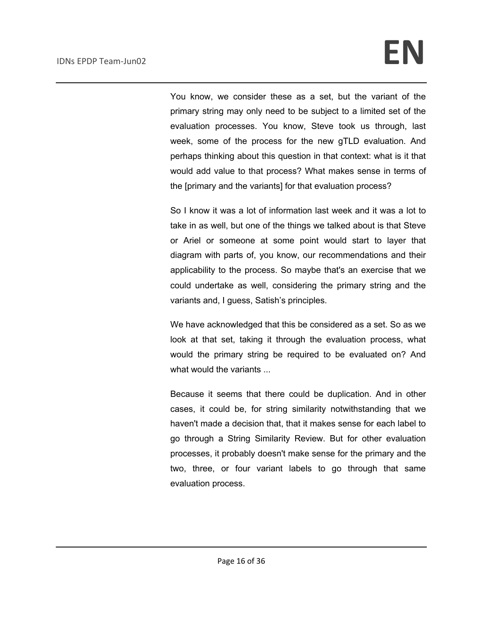You know, we consider these as a set, but the variant of the primary string may only need to be subject to a limited set of the evaluation processes. You know, Steve took us through, last week, some of the process for the new gTLD evaluation. And perhaps thinking about this question in that context: what is it that would add value to that process? What makes sense in terms of the [primary and the variants] for that evaluation process?

So I know it was a lot of information last week and it was a lot to take in as well, but one of the things we talked about is that Steve or Ariel or someone at some point would start to layer that diagram with parts of, you know, our recommendations and their applicability to the process. So maybe that's an exercise that we could undertake as well, considering the primary string and the variants and, I guess, Satish's principles.

We have acknowledged that this be considered as a set. So as we look at that set, taking it through the evaluation process, what would the primary string be required to be evaluated on? And what would the variants ...

Because it seems that there could be duplication. And in other cases, it could be, for string similarity notwithstanding that we haven't made a decision that, that it makes sense for each label to go through a String Similarity Review. But for other evaluation processes, it probably doesn't make sense for the primary and the two, three, or four variant labels to go through that same evaluation process.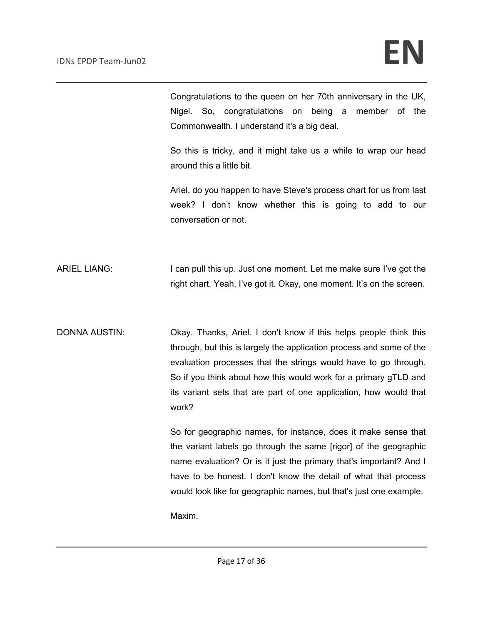Congratulations to the queen on her 70th anniversary in the UK, Nigel. So, congratulations on being a member of the Commonwealth. I understand it's a big deal.

So this is tricky, and it might take us a while to wrap our head around this a little bit.

Ariel, do you happen to have Steve's process chart for us from last week? I don't know whether this is going to add to our conversation or not.

ARIEL LIANG: I can pull this up. Just one moment. Let me make sure I've got the right chart. Yeah, I've got it. Okay, one moment. It's on the screen.

DONNA AUSTIN: Okay. Thanks, Ariel. I don't know if this helps people think this through, but this is largely the application process and some of the evaluation processes that the strings would have to go through. So if you think about how this would work for a primary gTLD and its variant sets that are part of one application, how would that work?

> So for geographic names, for instance, does it make sense that the variant labels go through the same [rigor] of the geographic name evaluation? Or is it just the primary that's important? And I have to be honest. I don't know the detail of what that process would look like for geographic names, but that's just one example.

Maxim.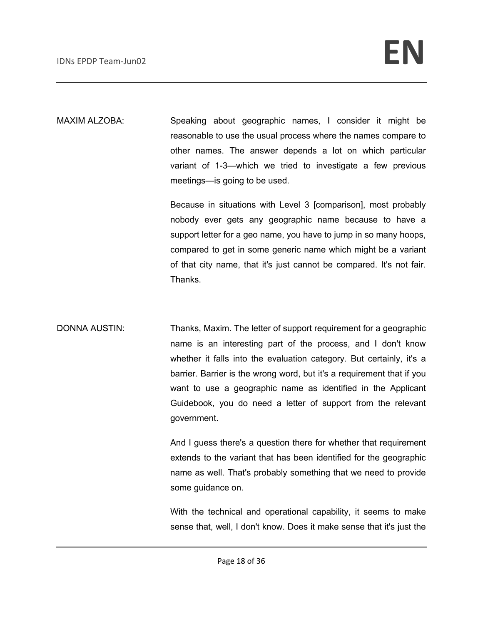MAXIM ALZOBA: Speaking about geographic names, I consider it might be reasonable to use the usual process where the names compare to other names. The answer depends a lot on which particular variant of 1-3—which we tried to investigate a few previous meetings—is going to be used.

> Because in situations with Level 3 [comparison], most probably nobody ever gets any geographic name because to have a support letter for a geo name, you have to jump in so many hoops, compared to get in some generic name which might be a variant of that city name, that it's just cannot be compared. It's not fair. Thanks.

DONNA AUSTIN: Thanks, Maxim. The letter of support requirement for a geographic name is an interesting part of the process, and I don't know whether it falls into the evaluation category. But certainly, it's a barrier. Barrier is the wrong word, but it's a requirement that if you want to use a geographic name as identified in the Applicant Guidebook, you do need a letter of support from the relevant government.

> And I guess there's a question there for whether that requirement extends to the variant that has been identified for the geographic name as well. That's probably something that we need to provide some guidance on.

> With the technical and operational capability, it seems to make sense that, well, I don't know. Does it make sense that it's just the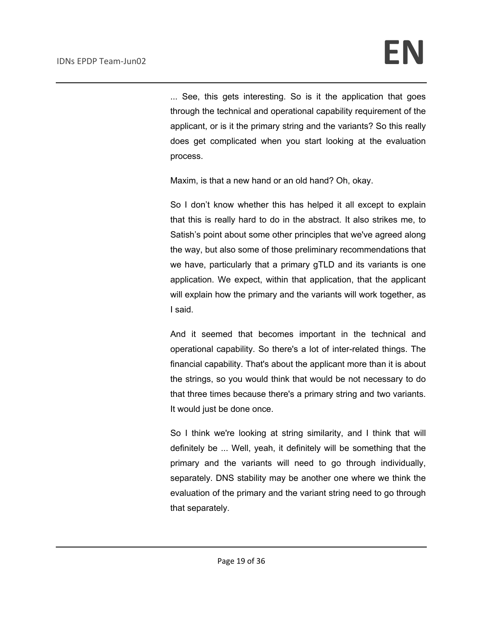... See, this gets interesting. So is it the application that goes through the technical and operational capability requirement of the applicant, or is it the primary string and the variants? So this really does get complicated when you start looking at the evaluation process.

Maxim, is that a new hand or an old hand? Oh, okay.

So I don't know whether this has helped it all except to explain that this is really hard to do in the abstract. It also strikes me, to Satish's point about some other principles that we've agreed along the way, but also some of those preliminary recommendations that we have, particularly that a primary gTLD and its variants is one application. We expect, within that application, that the applicant will explain how the primary and the variants will work together, as I said.

And it seemed that becomes important in the technical and operational capability. So there's a lot of inter-related things. The financial capability. That's about the applicant more than it is about the strings, so you would think that would be not necessary to do that three times because there's a primary string and two variants. It would just be done once.

So I think we're looking at string similarity, and I think that will definitely be ... Well, yeah, it definitely will be something that the primary and the variants will need to go through individually, separately. DNS stability may be another one where we think the evaluation of the primary and the variant string need to go through that separately.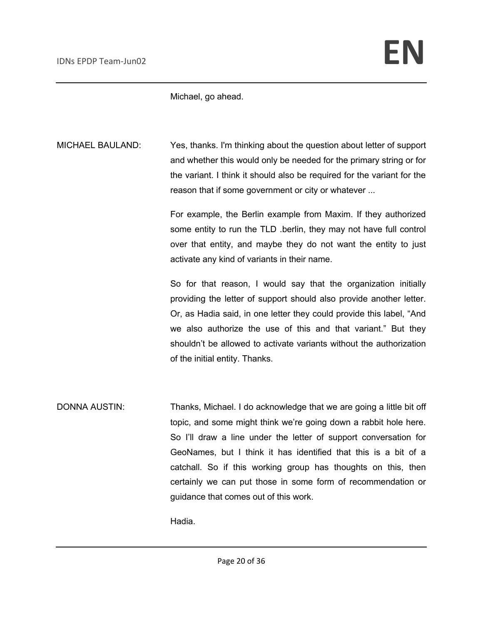Michael, go ahead.

MICHAEL BAULAND: Yes, thanks. I'm thinking about the question about letter of support and whether this would only be needed for the primary string or for the variant. I think it should also be required for the variant for the reason that if some government or city or whatever ...

> For example, the Berlin example from Maxim. If they authorized some entity to run the TLD .berlin, they may not have full control over that entity, and maybe they do not want the entity to just activate any kind of variants in their name.

> So for that reason, I would say that the organization initially providing the letter of support should also provide another letter. Or, as Hadia said, in one letter they could provide this label, "And we also authorize the use of this and that variant." But they shouldn't be allowed to activate variants without the authorization of the initial entity. Thanks.

DONNA AUSTIN: Thanks, Michael. I do acknowledge that we are going a little bit off topic, and some might think we're going down a rabbit hole here. So I'll draw a line under the letter of support conversation for GeoNames, but I think it has identified that this is a bit of a catchall. So if this working group has thoughts on this, then certainly we can put those in some form of recommendation or guidance that comes out of this work.

Hadia.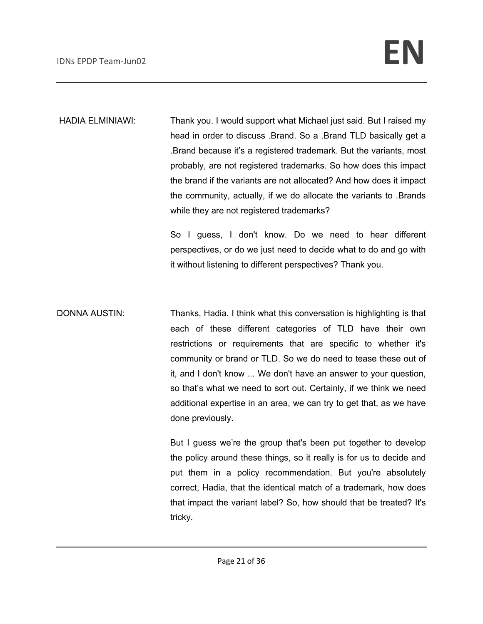HADIA ELMINIAWI: Thank you. I would support what Michael just said. But I raised my head in order to discuss .Brand. So a .Brand TLD basically get a .Brand because it's a registered trademark. But the variants, most probably, are not registered trademarks. So how does this impact the brand if the variants are not allocated? And how does it impact the community, actually, if we do allocate the variants to .Brands while they are not registered trademarks?

> So I guess, I don't know. Do we need to hear different perspectives, or do we just need to decide what to do and go with it without listening to different perspectives? Thank you.

DONNA AUSTIN: Thanks, Hadia. I think what this conversation is highlighting is that each of these different categories of TLD have their own restrictions or requirements that are specific to whether it's community or brand or TLD. So we do need to tease these out of it, and I don't know ... We don't have an answer to your question, so that's what we need to sort out. Certainly, if we think we need additional expertise in an area, we can try to get that, as we have done previously.

> But I guess we're the group that's been put together to develop the policy around these things, so it really is for us to decide and put them in a policy recommendation. But you're absolutely correct, Hadia, that the identical match of a trademark, how does that impact the variant label? So, how should that be treated? It's tricky.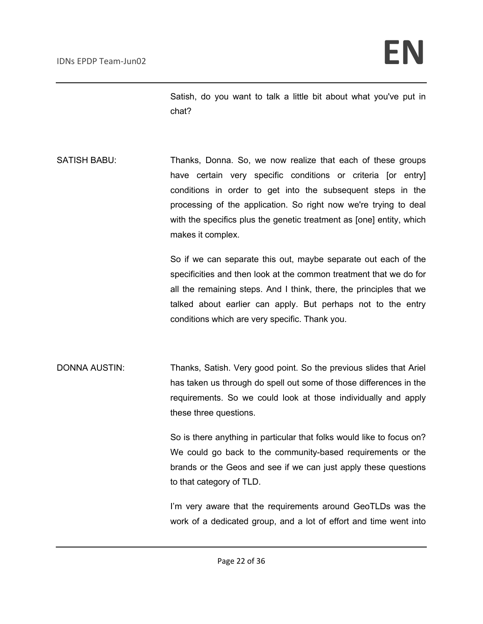Satish, do you want to talk a little bit about what you've put in chat?

SATISH BABU: Thanks, Donna. So, we now realize that each of these groups have certain very specific conditions or criteria [or entry] conditions in order to get into the subsequent steps in the processing of the application. So right now we're trying to deal with the specifics plus the genetic treatment as [one] entity, which makes it complex.

> So if we can separate this out, maybe separate out each of the specificities and then look at the common treatment that we do for all the remaining steps. And I think, there, the principles that we talked about earlier can apply. But perhaps not to the entry conditions which are very specific. Thank you.

DONNA AUSTIN: Thanks, Satish. Very good point. So the previous slides that Ariel has taken us through do spell out some of those differences in the requirements. So we could look at those individually and apply these three questions.

> So is there anything in particular that folks would like to focus on? We could go back to the community-based requirements or the brands or the Geos and see if we can just apply these questions to that category of TLD.

> I'm very aware that the requirements around GeoTLDs was the work of a dedicated group, and a lot of effort and time went into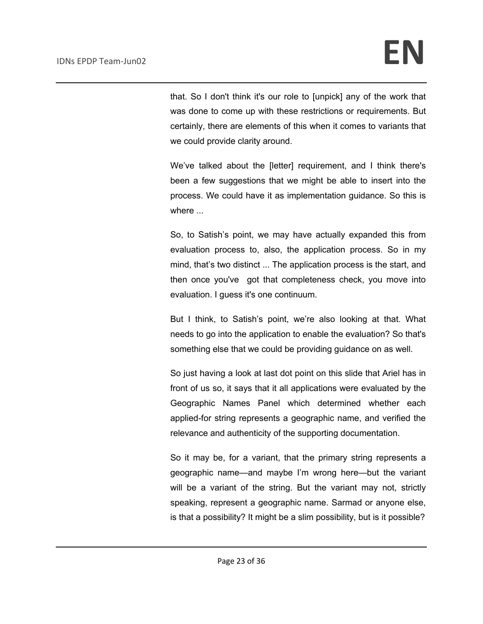that. So I don't think it's our role to [unpick] any of the work that was done to come up with these restrictions or requirements. But certainly, there are elements of this when it comes to variants that we could provide clarity around.

We've talked about the [letter] requirement, and I think there's been a few suggestions that we might be able to insert into the process. We could have it as implementation guidance. So this is where  $\overline{\phantom{a}}$ 

So, to Satish's point, we may have actually expanded this from evaluation process to, also, the application process. So in my mind, that's two distinct ... The application process is the start, and then once you've got that completeness check, you move into evaluation. I guess it's one continuum.

But I think, to Satish's point, we're also looking at that. What needs to go into the application to enable the evaluation? So that's something else that we could be providing guidance on as well.

So just having a look at last dot point on this slide that Ariel has in front of us so, it says that it all applications were evaluated by the Geographic Names Panel which determined whether each applied-for string represents a geographic name, and verified the relevance and authenticity of the supporting documentation.

So it may be, for a variant, that the primary string represents a geographic name—and maybe I'm wrong here—but the variant will be a variant of the string. But the variant may not, strictly speaking, represent a geographic name. Sarmad or anyone else, is that a possibility? It might be a slim possibility, but is it possible?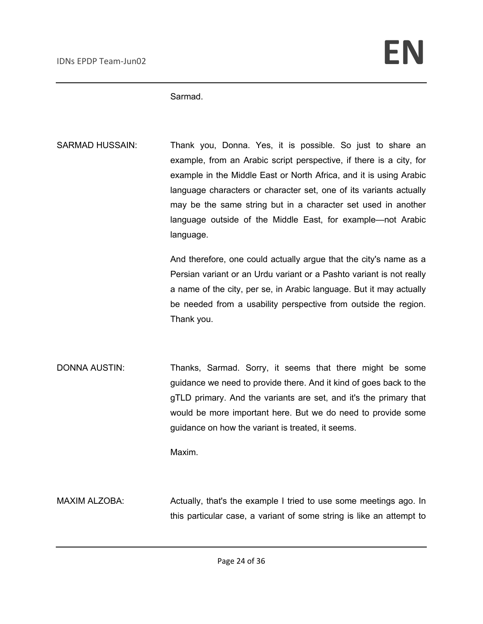Sarmad.

SARMAD HUSSAIN: Thank you, Donna. Yes, it is possible. So just to share an example, from an Arabic script perspective, if there is a city, for example in the Middle East or North Africa, and it is using Arabic language characters or character set, one of its variants actually may be the same string but in a character set used in another language outside of the Middle East, for example—not Arabic language.

> And therefore, one could actually argue that the city's name as a Persian variant or an Urdu variant or a Pashto variant is not really a name of the city, per se, in Arabic language. But it may actually be needed from a usability perspective from outside the region. Thank you.

DONNA AUSTIN: Thanks, Sarmad. Sorry, it seems that there might be some guidance we need to provide there. And it kind of goes back to the gTLD primary. And the variants are set, and it's the primary that would be more important here. But we do need to provide some guidance on how the variant is treated, it seems.

Maxim.

MAXIM ALZOBA: Actually, that's the example I tried to use some meetings ago. In this particular case, a variant of some string is like an attempt to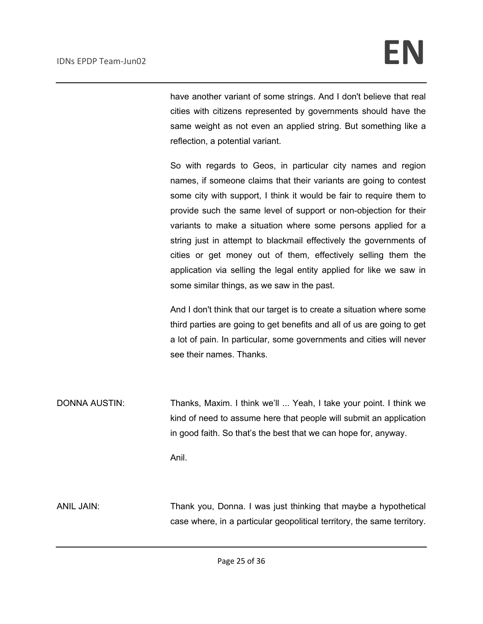have another variant of some strings. And I don't believe that real cities with citizens represented by governments should have the same weight as not even an applied string. But something like a reflection, a potential variant.

So with regards to Geos, in particular city names and region names, if someone claims that their variants are going to contest some city with support, I think it would be fair to require them to provide such the same level of support or non-objection for their variants to make a situation where some persons applied for a string just in attempt to blackmail effectively the governments of cities or get money out of them, effectively selling them the application via selling the legal entity applied for like we saw in some similar things, as we saw in the past.

And I don't think that our target is to create a situation where some third parties are going to get benefits and all of us are going to get a lot of pain. In particular, some governments and cities will never see their names. Thanks.

DONNA AUSTIN: Thanks, Maxim. I think we'll ... Yeah, I take your point. I think we kind of need to assume here that people will submit an application in good faith. So that's the best that we can hope for, anyway.

Anil.

ANIL JAIN: Thank you, Donna. I was just thinking that maybe a hypothetical case where, in a particular geopolitical territory, the same territory.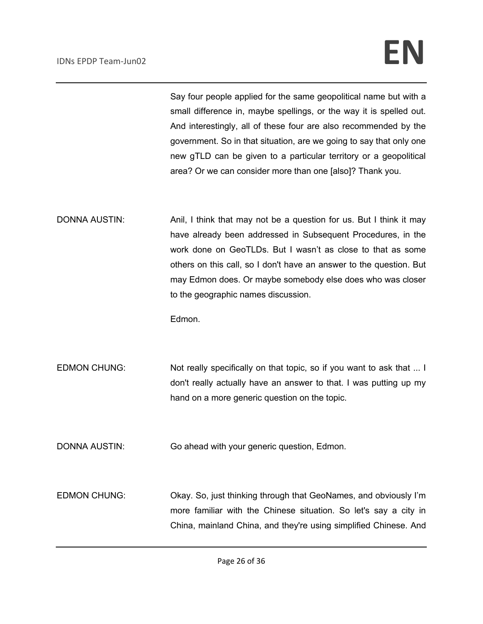Say four people applied for the same geopolitical name but with a small difference in, maybe spellings, or the way it is spelled out. And interestingly, all of these four are also recommended by the government. So in that situation, are we going to say that only one new gTLD can be given to a particular territory or a geopolitical area? Or we can consider more than one [also]? Thank you.

DONNA AUSTIN: Anil, I think that may not be a question for us. But I think it may have already been addressed in Subsequent Procedures, in the work done on GeoTLDs. But I wasn't as close to that as some others on this call, so I don't have an answer to the question. But may Edmon does. Or maybe somebody else does who was closer to the geographic names discussion.

Edmon.

EDMON CHUNG: Not really specifically on that topic, so if you want to ask that ... I don't really actually have an answer to that. I was putting up my hand on a more generic question on the topic.

DONNA AUSTIN: Go ahead with your generic question, Edmon.

EDMON CHUNG: Okay. So, just thinking through that GeoNames, and obviously I'm more familiar with the Chinese situation. So let's say a city in China, mainland China, and they're using simplified Chinese. And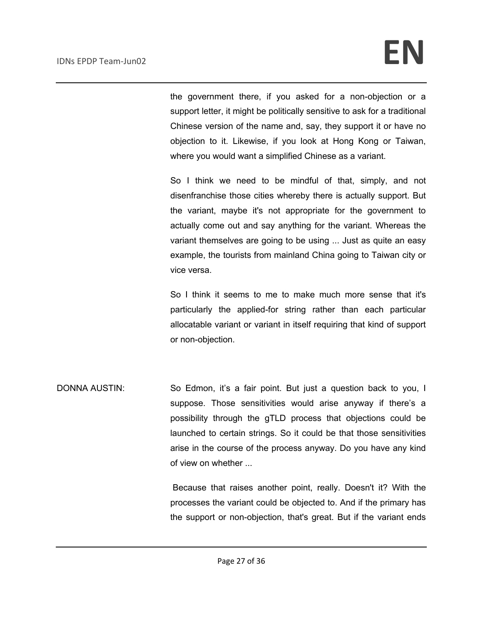the government there, if you asked for a non-objection or a support letter, it might be politically sensitive to ask for a traditional Chinese version of the name and, say, they support it or have no objection to it. Likewise, if you look at Hong Kong or Taiwan, where you would want a simplified Chinese as a variant.

So I think we need to be mindful of that, simply, and not disenfranchise those cities whereby there is actually support. But the variant, maybe it's not appropriate for the government to actually come out and say anything for the variant. Whereas the variant themselves are going to be using ... Just as quite an easy example, the tourists from mainland China going to Taiwan city or vice versa.

So I think it seems to me to make much more sense that it's particularly the applied-for string rather than each particular allocatable variant or variant in itself requiring that kind of support or non-objection.

DONNA AUSTIN: So Edmon, it's a fair point. But just a question back to you, I suppose. Those sensitivities would arise anyway if there's a possibility through the gTLD process that objections could be launched to certain strings. So it could be that those sensitivities arise in the course of the process anyway. Do you have any kind of view on whether ...

> Because that raises another point, really. Doesn't it? With the processes the variant could be objected to. And if the primary has the support or non-objection, that's great. But if the variant ends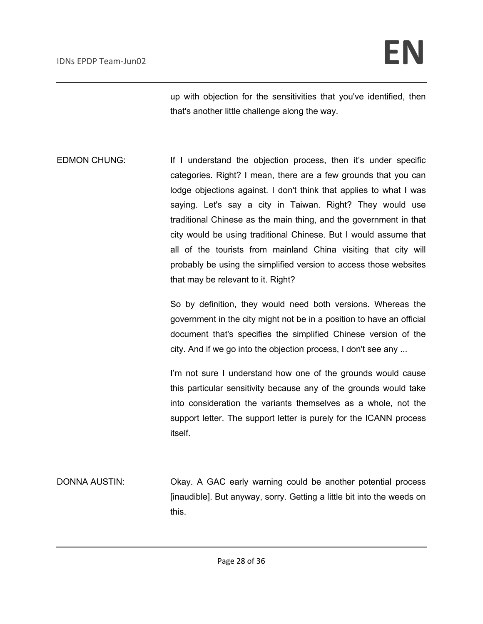up with objection for the sensitivities that you've identified, then that's another little challenge along the way.

EDMON CHUNG: If I understand the objection process, then it's under specific categories. Right? I mean, there are a few grounds that you can lodge objections against. I don't think that applies to what I was saying. Let's say a city in Taiwan. Right? They would use traditional Chinese as the main thing, and the government in that city would be using traditional Chinese. But I would assume that all of the tourists from mainland China visiting that city will probably be using the simplified version to access those websites that may be relevant to it. Right?

> So by definition, they would need both versions. Whereas the government in the city might not be in a position to have an official document that's specifies the simplified Chinese version of the city. And if we go into the objection process, I don't see any ...

> I'm not sure I understand how one of the grounds would cause this particular sensitivity because any of the grounds would take into consideration the variants themselves as a whole, not the support letter. The support letter is purely for the ICANN process itself.

DONNA AUSTIN: Okay. A GAC early warning could be another potential process [inaudible]. But anyway, sorry. Getting a little bit into the weeds on this.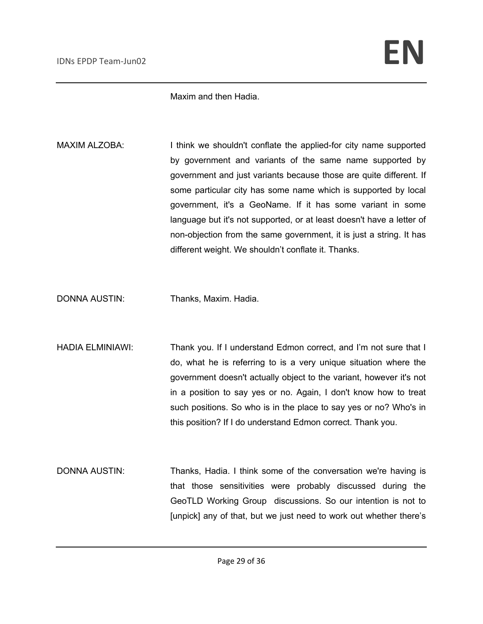Maxim and then Hadia.

- MAXIM ALZOBA: I think we shouldn't conflate the applied-for city name supported by government and variants of the same name supported by government and just variants because those are quite different. If some particular city has some name which is supported by local government, it's a GeoName. If it has some variant in some language but it's not supported, or at least doesn't have a letter of non-objection from the same government, it is just a string. It has different weight. We shouldn't conflate it. Thanks.
- DONNA AUSTIN: Thanks, Maxim. Hadia.
- HADIA ELMINIAWI: Thank you. If I understand Edmon correct, and I'm not sure that I do, what he is referring to is a very unique situation where the government doesn't actually object to the variant, however it's not in a position to say yes or no. Again, I don't know how to treat such positions. So who is in the place to say yes or no? Who's in this position? If I do understand Edmon correct. Thank you.
- DONNA AUSTIN: Thanks, Hadia. I think some of the conversation we're having is that those sensitivities were probably discussed during the GeoTLD Working Group discussions. So our intention is not to [unpick] any of that, but we just need to work out whether there's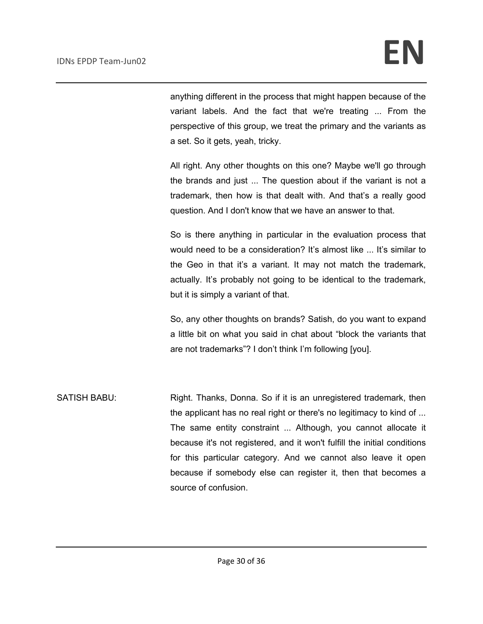anything different in the process that might happen because of the variant labels. And the fact that we're treating ... From the perspective of this group, we treat the primary and the variants as a set. So it gets, yeah, tricky.

All right. Any other thoughts on this one? Maybe we'll go through the brands and just ... The question about if the variant is not a trademark, then how is that dealt with. And that's a really good question. And I don't know that we have an answer to that.

So is there anything in particular in the evaluation process that would need to be a consideration? It's almost like ... It's similar to the Geo in that it's a variant. It may not match the trademark, actually. It's probably not going to be identical to the trademark, but it is simply a variant of that.

So, any other thoughts on brands? Satish, do you want to expand a little bit on what you said in chat about "block the variants that are not trademarks"? I don't think I'm following [you].

SATISH BABU: Right. Thanks, Donna. So if it is an unregistered trademark, then the applicant has no real right or there's no legitimacy to kind of ... The same entity constraint ... Although, you cannot allocate it because it's not registered, and it won't fulfill the initial conditions for this particular category. And we cannot also leave it open because if somebody else can register it, then that becomes a source of confusion.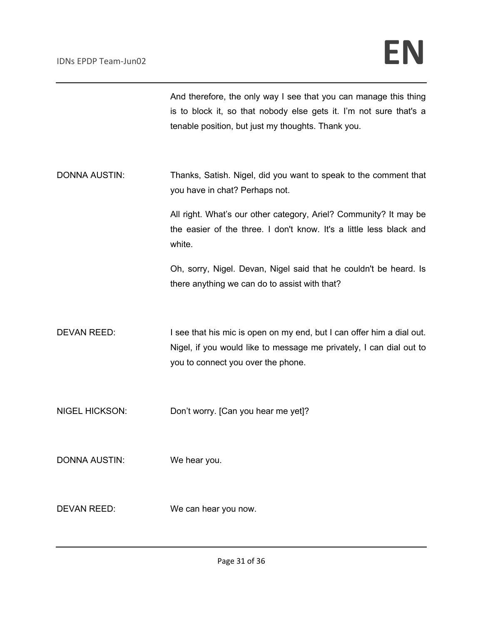And therefore, the only way I see that you can manage this thing is to block it, so that nobody else gets it. I'm not sure that's a tenable position, but just my thoughts. Thank you.

DONNA AUSTIN: Thanks, Satish. Nigel, did you want to speak to the comment that you have in chat? Perhaps not.

> All right. What's our other category, Ariel? Community? It may be the easier of the three. I don't know. It's a little less black and white.

> Oh, sorry, Nigel. Devan, Nigel said that he couldn't be heard. Is there anything we can do to assist with that?

DEVAN REED: I see that his mic is open on my end, but I can offer him a dial out. Nigel, if you would like to message me privately, I can dial out to you to connect you over the phone.

NIGEL HICKSON: Don't worry. [Can you hear me yet]?

DONNA AUSTIN: We hear you.

DEVAN REED: We can hear you now.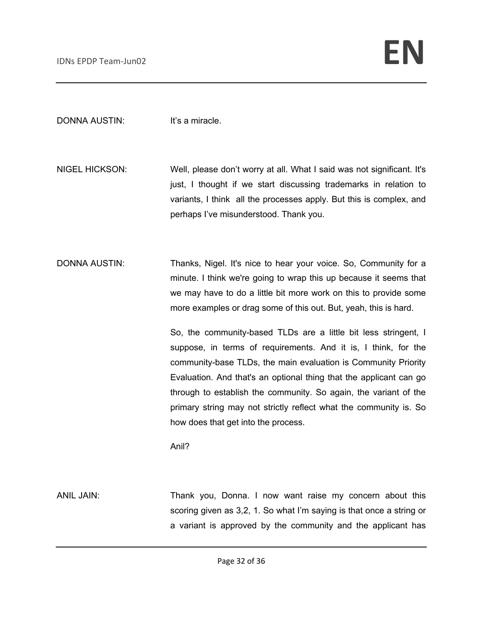DONNA AUSTIN: It's a miracle.

NIGEL HICKSON: Well, please don't worry at all. What I said was not significant. It's just, I thought if we start discussing trademarks in relation to variants, I think all the processes apply. But this is complex, and perhaps I've misunderstood. Thank you.

DONNA AUSTIN: Thanks, Nigel. It's nice to hear your voice. So, Community for a minute. I think we're going to wrap this up because it seems that we may have to do a little bit more work on this to provide some more examples or drag some of this out. But, yeah, this is hard.

> So, the community-based TLDs are a little bit less stringent, I suppose, in terms of requirements. And it is, I think, for the community-base TLDs, the main evaluation is Community Priority Evaluation. And that's an optional thing that the applicant can go through to establish the community. So again, the variant of the primary string may not strictly reflect what the community is. So how does that get into the process.

Anil?

ANIL JAIN: Thank you, Donna. I now want raise my concern about this scoring given as 3,2, 1. So what I'm saying is that once a string or a variant is approved by the community and the applicant has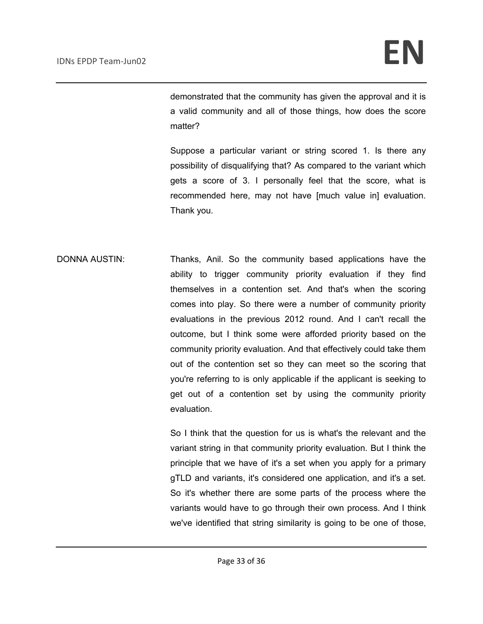demonstrated that the community has given the approval and it is a valid community and all of those things, how does the score matter?

Suppose a particular variant or string scored 1. Is there any possibility of disqualifying that? As compared to the variant which gets a score of 3. I personally feel that the score, what is recommended here, may not have [much value in] evaluation. Thank you.

DONNA AUSTIN: Thanks, Anil. So the community based applications have the ability to trigger community priority evaluation if they find themselves in a contention set. And that's when the scoring comes into play. So there were a number of community priority evaluations in the previous 2012 round. And I can't recall the outcome, but I think some were afforded priority based on the community priority evaluation. And that effectively could take them out of the contention set so they can meet so the scoring that you're referring to is only applicable if the applicant is seeking to get out of a contention set by using the community priority evaluation.

> So I think that the question for us is what's the relevant and the variant string in that community priority evaluation. But I think the principle that we have of it's a set when you apply for a primary gTLD and variants, it's considered one application, and it's a set. So it's whether there are some parts of the process where the variants would have to go through their own process. And I think we've identified that string similarity is going to be one of those,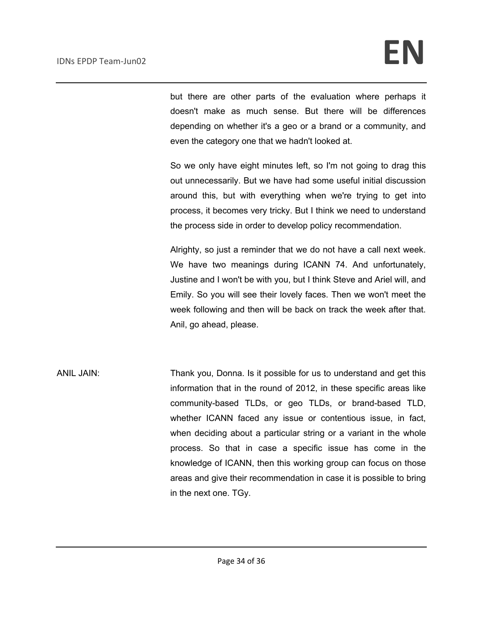but there are other parts of the evaluation where perhaps it doesn't make as much sense. But there will be differences depending on whether it's a geo or a brand or a community, and even the category one that we hadn't looked at.

So we only have eight minutes left, so I'm not going to drag this out unnecessarily. But we have had some useful initial discussion around this, but with everything when we're trying to get into process, it becomes very tricky. But I think we need to understand the process side in order to develop policy recommendation.

Alrighty, so just a reminder that we do not have a call next week. We have two meanings during ICANN 74. And unfortunately, Justine and I won't be with you, but I think Steve and Ariel will, and Emily. So you will see their lovely faces. Then we won't meet the week following and then will be back on track the week after that. Anil, go ahead, please.

ANIL JAIN: Thank you, Donna. Is it possible for us to understand and get this information that in the round of 2012, in these specific areas like community-based TLDs, or geo TLDs, or brand-based TLD, whether ICANN faced any issue or contentious issue, in fact, when deciding about a particular string or a variant in the whole process. So that in case a specific issue has come in the knowledge of ICANN, then this working group can focus on those areas and give their recommendation in case it is possible to bring in the next one. TGy.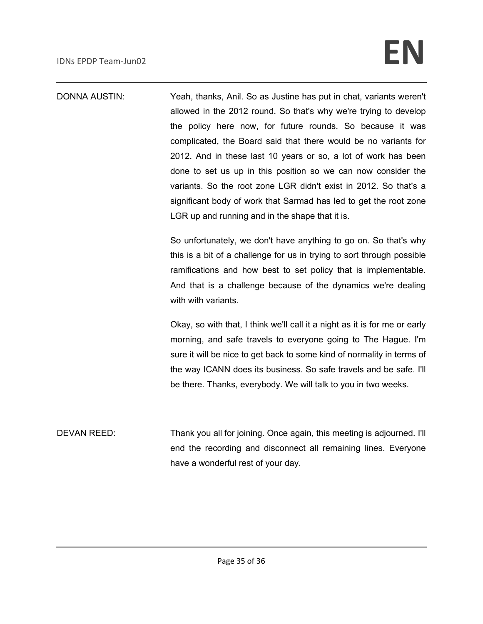# IDNs EPDP Team-Jun02 **EN**

DONNA AUSTIN: Yeah, thanks, Anil. So as Justine has put in chat, variants weren't allowed in the 2012 round. So that's why we're trying to develop the policy here now, for future rounds. So because it was complicated, the Board said that there would be no variants for 2012. And in these last 10 years or so, a lot of work has been done to set us up in this position so we can now consider the variants. So the root zone LGR didn't exist in 2012. So that's a significant body of work that Sarmad has led to get the root zone LGR up and running and in the shape that it is.

> So unfortunately, we don't have anything to go on. So that's why this is a bit of a challenge for us in trying to sort through possible ramifications and how best to set policy that is implementable. And that is a challenge because of the dynamics we're dealing with with variants.

> Okay, so with that, I think we'll call it a night as it is for me or early morning, and safe travels to everyone going to The Hague. I'm sure it will be nice to get back to some kind of normality in terms of the way ICANN does its business. So safe travels and be safe. I'll be there. Thanks, everybody. We will talk to you in two weeks.

DEVAN REED: Thank you all for joining. Once again, this meeting is adjourned. I'll end the recording and disconnect all remaining lines. Everyone have a wonderful rest of your day.